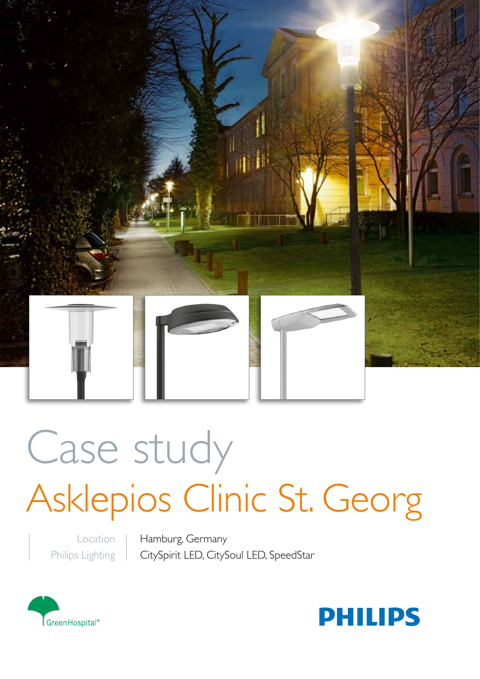

# Case study Asklepios Clinic St. Georg

Location Philips Lighting Hamburg, Germany CitySpirit LED, CitySoul LED, SpeedStar



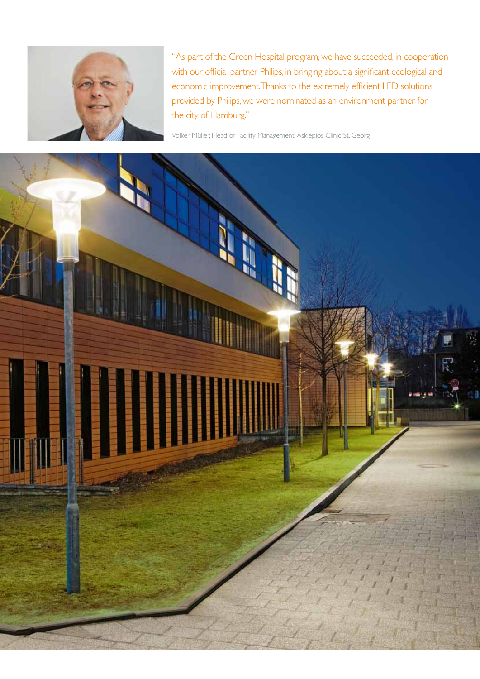

"As part of the Green Hospital program, we have succeeded, in cooperation with our official partner Philips, in bringing about a significant ecological and economic improvement. Thanks to the extremely efficient LED solutions provided by Philips, we were nominated as an environment partner for the city of Hamburg."

Volker Müller, Head of Facility Management, Asklepios Clinic St. Georg

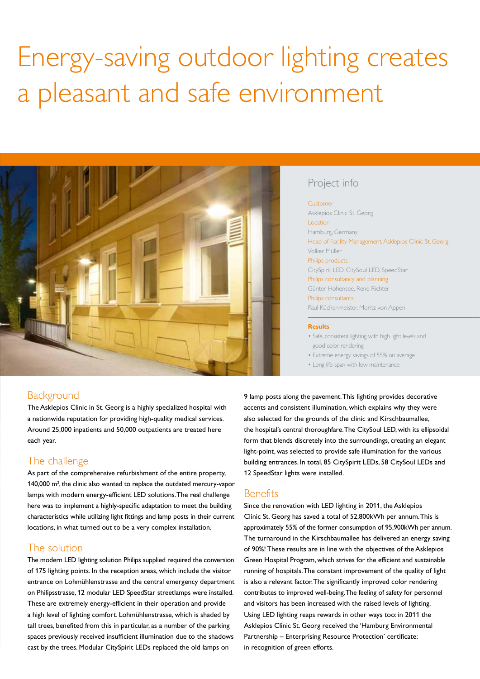# Energy-saving outdoor lighting creates a pleasant and safe environment



# Project info

#### Customer

Asklepios Clinic St. Georg Location Hamburg, Germany Head of Facility Management, Asklepios Clinic St. Georg Volker Müller Philips products CitySpirit LED, CitySoul LED, SpeedStar Philips consultancy and planning Günter Hohensee, Rene Richter Philips consultants Paul Küchenmeister, Moritz von Appen

#### **Results**

- Safe, consistent lighting with high light levels and good color rendering
- Extreme energy savings of 55% on average
- Long life-span with low maintenance

# Background

The Asklepios Clinic in St. Georg is a highly specialized hospital with a nationwide reputation for providing high-quality medical services. Around 25,000 inpatients and 50,000 outpatients are treated here each year.

# The challenge

As part of the comprehensive refurbishment of the entire property, 140,000 m<sup>2</sup>, the clinic also wanted to replace the outdated mercury-vapor lamps with modern energy-efficient LED solutions. The real challenge here was to implement a highly-specific adaptation to meet the building characteristics while utilizing light fittings and lamp posts in their current locations, in what turned out to be a very complex installation.

## The solution

The modern LED lighting solution Philips supplied required the conversion of 175 lighting points. In the reception areas, which include the visitor entrance on Lohmühlenstrasse and the central emergency department on Philipsstrasse, 12 modular LED SpeedStar streetlamps were installed. These are extremely energy-efficient in their operation and provide a high level of lighting comfort. Lohmühlenstrasse, which is shaded by tall trees, benefited from this in particular, as a number of the parking spaces previously received insufficient illumination due to the shadows cast by the trees. Modular CitySpirit LEDs replaced the old lamps on

9 lamp posts along the pavement. This lighting provides decorative accents and consistent illumination, which explains why they were also selected for the grounds of the clinic and Kirschbaumallee, the hospital's central thoroughfare. The CitySoul LED, with its ellipsoidal form that blends discretely into the surroundings, creating an elegant light-point, was selected to provide safe illumination for the various building entrances. In total, 85 CitySpirit LEDs, 58 CitySoul LEDs and 12 SpeedStar lights were installed.

## **Benefits**

Since the renovation with LED lighting in 2011, the Asklepios Clinic St. Georg has saved a total of 52,800kWh per annum. This is approximately 55% of the former consumption of 95,900kWh per annum. The turnaround in the Kirschbaumallee has delivered an energy saving of 90%! These results are in line with the objectives of the Asklepios Green Hospital Program, which strives for the efficient and sustainable running of hospitals. The constant improvement of the quality of light is also a relevant factor. The significantly improved color rendering contributes to improved well-being. The feeling of safety for personnel and visitors has been increased with the raised levels of lighting. Using LED lighting reaps rewards in other ways too: in 2011 the Asklepios Clinic St. Georg received the 'Hamburg Environmental Partnership – Enterprising Resource Protection' certificate; in recognition of green efforts.